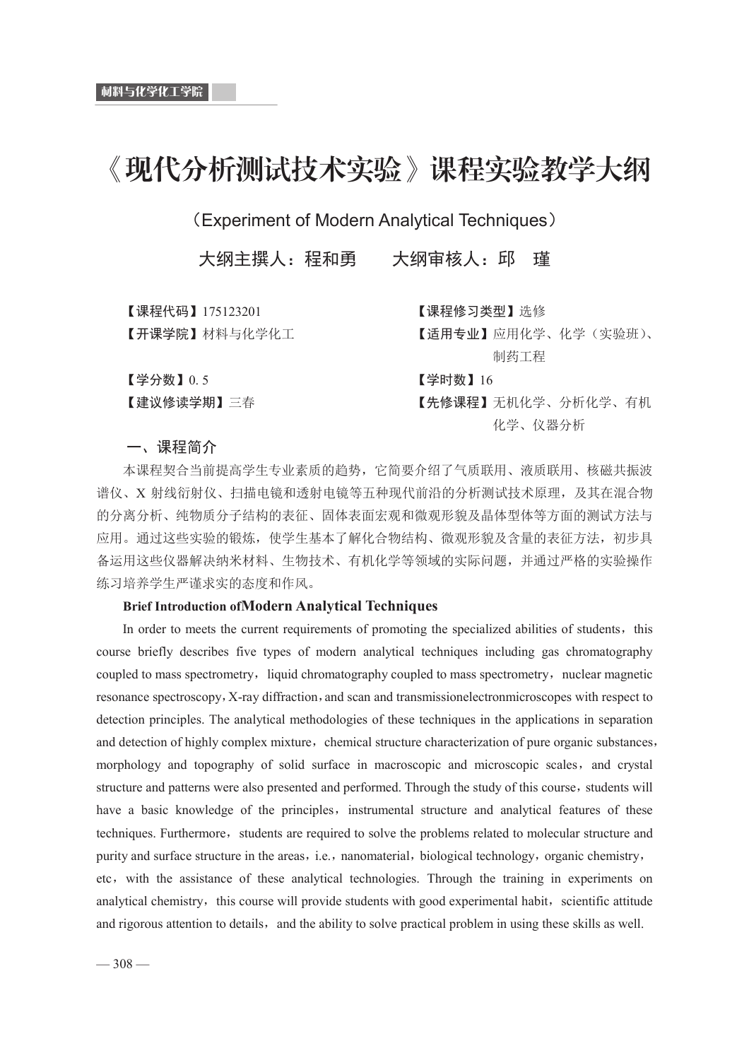# 《现代分析测试技术实验》课程实验教学大纲

(Experiment of Modern Analytical Techniques)

大纲主撰人: 程和勇 大纲审核人: 邱

【课程代码】175123201 【课程修习类型】洗修

ɋᔶ䈴ᆜ䲘Ɍᶀᯉоॆᆖॆᐕ ɋ䘸⭞щѐɌᓄ⭘ॆᆖǃॆᆖ˄ᇎ傼⨝˅ǃ

制药工程

 $\left[$ 学分数】 $0.5$   $\left[$ 学时数】 $16\right]$ 

【建议修读学期】三春 【先修课程】无机化学、分析化学、有机 化学、仪器分析

一、课程简介

本课程契合当前提高学生专业素质的趋势,它简要介绍了气质联用、液质联用、核磁共振波 谱仪、X 射线衍射仪、扫描电镜和透射电镜等五种现代前沿的分析测试技术原理, 及其在混合物 的分离分析、纯物质分子结构的表征、固体表面宏观和微观形貌及晶体型体等方面的测试方法与 应用。通过这些实验的锻炼, 使学生基本了解化合物结构、微观形貌及含量的表征方法, 初步具 备运用这些仪器解决纳米材料、生物技术、有机化学等领域的实际问题,并通过严格的实验操作 练习培养学生严谨求实的态度和作风。

#### **Brief Introduction ofModern Analytical Techniques**

In order to meets the current requirements of promoting the specialized abilities of students, this course briefly describes five types of modern analytical techniques including gas chromatography coupled to mass spectrometry, liquid chromatography coupled to mass spectrometry, nuclear magnetic resonance spectroscopy, X-ray diffraction, and scan and transmissionelectronmicroscopes with respect to detection principles. The analytical methodologies of these techniques in the applications in separation and detection of highly complex mixture, chemical structure characterization of pure organic substances, morphology and topography of solid surface in macroscopic and microscopic scales, and crystal structure and patterns were also presented and performed. Through the study of this course, students will have a basic knowledge of the principles, instrumental structure and analytical features of these techniques. Furthermore, students are required to solve the problems related to molecular structure and purity and surface structure in the areas, i.e., nanomaterial, biological technology, organic chemistry, etc, with the assistance of these analytical technologies. Through the training in experiments on analytical chemistry, this course will provide students with good experimental habit, scientific attitude and rigorous attention to details, and the ability to solve practical problem in using these skills as well.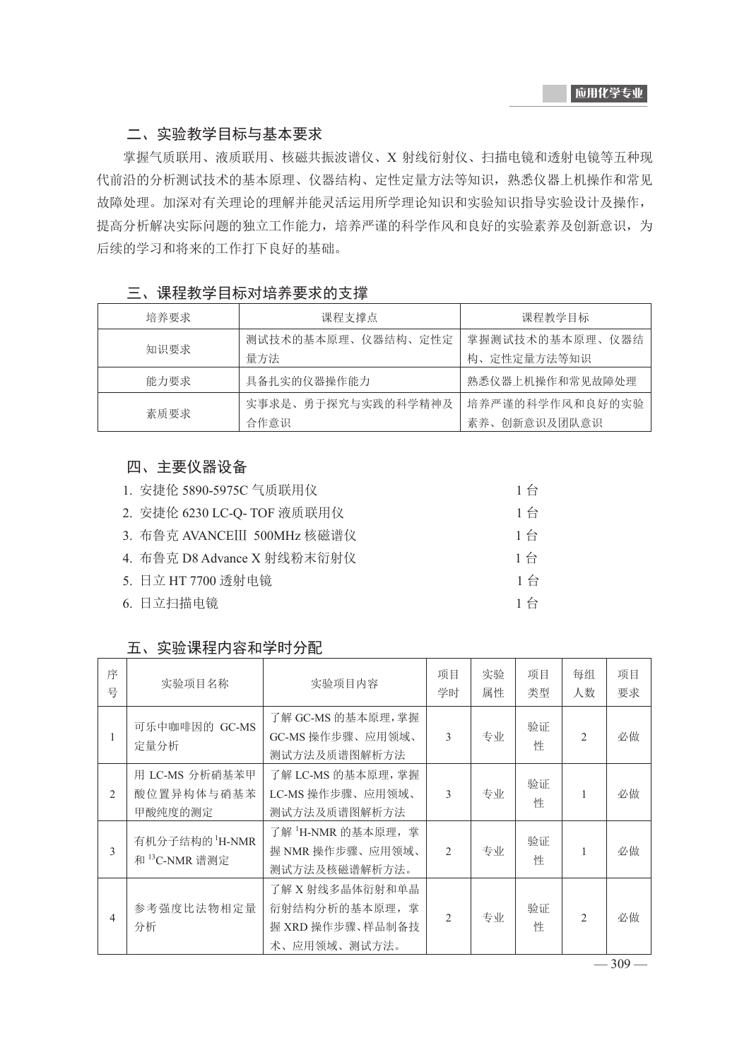# 二、实验教学目标与基本要求

掌握气质联用、液质联用、核磁共振波谱仪、X 射线衍射仪、扫描电镜和透射电镜等五种现 代前沿的分析测试技术的基本原理、仪器结构、定性定量方法等知识,熟悉仪器上机操作和常见 故障处理。加深对有关理论的理解并能灵活运用所学理论知识和实验知识指导实验设计及操作, 提高分析解决实际问题的独立工作能力,培养严谨的科学作风和良好的实验素养及创新意识,为 后续的学习和将来的工作打下良好的基础。

| 三、课程教学目标对培养要求的支撑 |
|------------------|
|                  |

| 培养要求 | 课程支撑点              | 课程教学目标          |
|------|--------------------|-----------------|
| 知识要求 | 测试技术的基本原理、仪器结构、定性定 | 掌握测试技术的基本原理、仪器结 |
|      | 量方法                | 构、定性定量方法等知识     |
| 能力要求 | 具备扎实的仪器操作能力        | 熟悉仪器上机操作和常见故障处理 |
|      | 实事求是、勇于探究与实践的科学精神及 | 培养严谨的科学作风和良好的实验 |
| 素质要求 | 合作意识               | 素养、创新意识及团队意识    |

# 四、主要仪器设备

| 1. 安捷伦 5890-5975C 气质联用仪      | 1台    |
|------------------------------|-------|
| 2. 安捷伦 6230 LC-Q- TOF 液质联用仪  | 1台    |
| 3. 布鲁克 AVANCEIII 500MHz 核磁谱仪 | $1$ 台 |
| 4. 布鲁克 D8 Advance X 射线粉末衍射仪  | 1台    |
| 5. 日立 HT 7700 透射电镜           | $1$ 台 |
| 6. 日立扫描电镜                    | $1$ 台 |

### 五、实验课程内容和学时分配

| 序<br>뮥         | 实验项目名称                                                  | 实验项目内容                                                                | 项目<br>学时       | 实验<br>属性 | 项目<br>类型 | 每组<br>人数       | 项目<br>要求 |
|----------------|---------------------------------------------------------|-----------------------------------------------------------------------|----------------|----------|----------|----------------|----------|
| 1              | 可乐中咖啡因的 GC-MS<br>定量分析                                   | 了解 GC-MS 的基本原理,掌握<br>GC-MS 操作步骤、应用领域、<br>测试方法及质谱图解析方法                 | $\mathcal{E}$  | 专业       | 验证<br>性  | $\mathfrak{D}$ | 必做       |
| $\overline{2}$ | 用 LC-MS 分析硝基苯甲<br>酸位置异构体与硝基苯<br>甲酸纯度的测定                 | 了解 LC-MS 的基本原理, 掌握<br>LC-MS 操作步骤、应用领域、<br>测试方法及质谱图解析方法                | $\mathcal{E}$  | 专业       | 验证<br>性  |                | 必做       |
| 3              | 有机分子结构的 <sup>1</sup> H-NMR<br>和 <sup>13</sup> C-NMR 谱测定 | 了解 <sup>1</sup> H-NMR 的基本原理,掌<br>握 NMR 操作步骤、应用领域、<br>测试方法及核磁谱解析方法。    | $\mathfrak{D}$ | 专业       | 验证<br>性  | 1              | 必做       |
| 4              | 参考强度比法物相定量<br>分析                                        | 了解 X 射线多晶体衍射和单晶<br>衍射结构分析的基本原理, 掌<br>握 XRD 操作步骤、样品制备技<br>术、应用领域、测试方法。 | $\mathfrak{D}$ | 专业       | 验证<br>性  | $\mathfrak{D}$ | 必做       |

 $-309-$